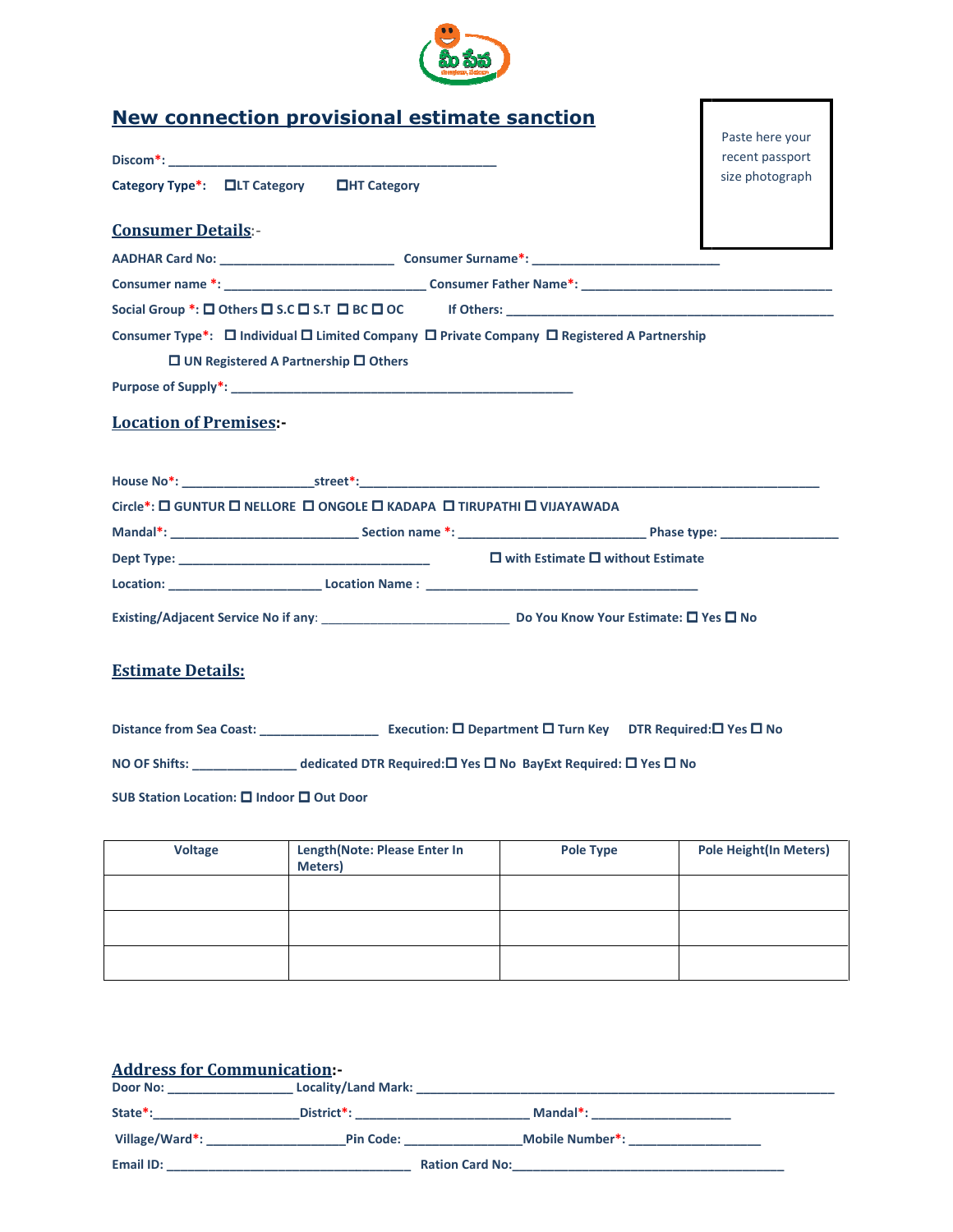

|                                           | <b>New connection provisional estimate sanction</b>                    |                                                                                                   |                               |
|-------------------------------------------|------------------------------------------------------------------------|---------------------------------------------------------------------------------------------------|-------------------------------|
|                                           | Paste here your<br>recent passport                                     |                                                                                                   |                               |
|                                           | Category Type*: □LT Category □HT Category                              |                                                                                                   | size photograph               |
| <b>Consumer Details:-</b>                 |                                                                        |                                                                                                   |                               |
|                                           |                                                                        |                                                                                                   |                               |
|                                           |                                                                        |                                                                                                   |                               |
|                                           |                                                                        |                                                                                                   |                               |
|                                           |                                                                        | Consumer Type*: □ Individual □ Limited Company □ Private Company □ Registered A Partnership       |                               |
|                                           | $\Box$ UN Registered A Partnership $\Box$ Others                       |                                                                                                   |                               |
|                                           |                                                                        |                                                                                                   |                               |
| <b>Location of Premises:-</b>             |                                                                        |                                                                                                   |                               |
|                                           |                                                                        |                                                                                                   |                               |
|                                           |                                                                        | House No*: Street*: Street*:                                                                      |                               |
|                                           | Circle*: □ GUNTUR □ NELLORE □ ONGOLE □ KADAPA □ TIRUPATHI □ VIJAYAWADA |                                                                                                   |                               |
|                                           |                                                                        |                                                                                                   |                               |
|                                           |                                                                        |                                                                                                   |                               |
|                                           |                                                                        |                                                                                                   |                               |
|                                           |                                                                        |                                                                                                   |                               |
| <b>Estimate Details:</b>                  |                                                                        |                                                                                                   |                               |
|                                           |                                                                        |                                                                                                   |                               |
|                                           |                                                                        | NO OF Shifts: ______________________dedicated DTR Required:□ Yes □ No BayExt Required: □ Yes □ No |                               |
| SUB Station Location: □ Indoor □ Out Door |                                                                        |                                                                                                   |                               |
| <b>Voltage</b>                            | Length(Note: Please Enter In<br>Meters)                                | <b>Pole Type</b>                                                                                  | <b>Pole Height(In Meters)</b> |
|                                           |                                                                        |                                                                                                   |                               |
|                                           |                                                                        |                                                                                                   |                               |
|                                           |                                                                        |                                                                                                   |                               |
|                                           |                                                                        |                                                                                                   |                               |
|                                           |                                                                        |                                                                                                   |                               |
|                                           |                                                                        |                                                                                                   |                               |
| <b>Address for Communication -</b>        |                                                                        |                                                                                                   |                               |
|                                           |                                                                        |                                                                                                   |                               |
|                                           |                                                                        | Village/Ward*: Pin Code: Mobile Number*:                                                          |                               |
| Email ID:                                 |                                                                        | <b>Ration Card No:</b>                                                                            |                               |

| <b>Voltage</b> | Length(Note: Please Enter In<br>Meters) | Pole Type | <b>Pole Height (In Meters)</b> |
|----------------|-----------------------------------------|-----------|--------------------------------|
|                |                                         |           |                                |
|                |                                         |           |                                |
|                |                                         |           |                                |

| <b>Address for Communication:-</b> |                            |                        |  |
|------------------------------------|----------------------------|------------------------|--|
| Door No:                           | <b>Locality/Land Mark:</b> |                        |  |
| State*:                            | District*:                 | Mandal*:               |  |
| Village/Ward*:                     | <b>Pin Code:</b>           | Mobile Number*:        |  |
| Email ID:                          |                            | <b>Ration Card No:</b> |  |